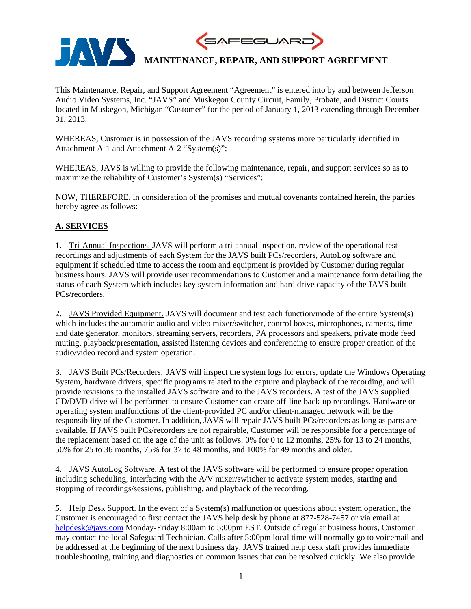

This Maintenance, Repair, and Support Agreement "Agreement" is entered into by and between Jefferson Audio Video Systems, Inc. "JAVS" and Muskegon County Circuit, Family, Probate, and District Courts located in Muskegon, Michigan "Customer" for the period of January 1, 2013 extending through December 31, 2013.

WHEREAS, Customer is in possession of the JAVS recording systems more particularly identified in Attachment A-1 and Attachment A-2 "System(s)";

WHEREAS, JAVS is willing to provide the following maintenance, repair, and support services so as to maximize the reliability of Customer's System(s) "Services";

NOW, THEREFORE, in consideration of the promises and mutual covenants contained herein, the parties hereby agree as follows:

## **A. SERVICES**

1. Tri-Annual Inspections. JAVS will perform a tri-annual inspection, review of the operational test recordings and adjustments of each System for the JAVS built PCs/recorders, AutoLog software and equipment if scheduled time to access the room and equipment is provided by Customer during regular business hours. JAVS will provide user recommendations to Customer and a maintenance form detailing the status of each System which includes key system information and hard drive capacity of the JAVS built PCs/recorders.

2. JAVS Provided Equipment. JAVS will document and test each function/mode of the entire System(s) which includes the automatic audio and video mixer/switcher, control boxes, microphones, cameras, time and date generator, monitors, streaming servers, recorders, PA processors and speakers, private mode feed muting, playback/presentation, assisted listening devices and conferencing to ensure proper creation of the audio/video record and system operation.

3. JAVS Built PCs/Recorders. JAVS will inspect the system logs for errors, update the Windows Operating System, hardware drivers, specific programs related to the capture and playback of the recording, and will provide revisions to the installed JAVS software and to the JAVS recorders. A test of the JAVS supplied CD/DVD drive will be performed to ensure Customer can create off-line back-up recordings. Hardware or operating system malfunctions of the client-provided PC and/or client-managed network will be the responsibility of the Customer. In addition, JAVS will repair JAVS built PCs/recorders as long as parts are available. If JAVS built PCs/recorders are not repairable, Customer will be responsible for a percentage of the replacement based on the age of the unit as follows: 0% for 0 to 12 months, 25% for 13 to 24 months, 50% for 25 to 36 months, 75% for 37 to 48 months, and 100% for 49 months and older.

4. JAVS AutoLog Software. A test of the JAVS software will be performed to ensure proper operation including scheduling, interfacing with the A/V mixer/switcher to activate system modes, starting and stopping of recordings/sessions, publishing, and playback of the recording.

*5.* Help Desk Support. In the event of a System(s) malfunction or questions about system operation, the Customer is encouraged to first contact the JAVS help desk by phone at 877-528-7457 or via email at helpdesk@javs.com Monday-Friday 8:00am to 5:00pm EST. Outside of regular business hours, Customer may contact the local Safeguard Technician. Calls after 5:00pm local time will normally go to voicemail and be addressed at the beginning of the next business day. JAVS trained help desk staff provides immediate troubleshooting, training and diagnostics on common issues that can be resolved quickly. We also provide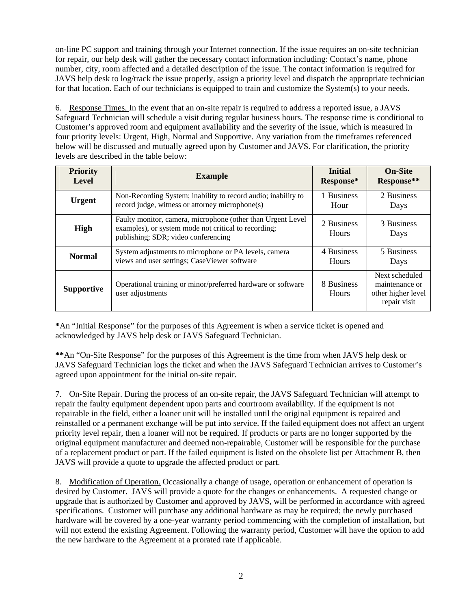on-line PC support and training through your Internet connection. If the issue requires an on-site technician for repair, our help desk will gather the necessary contact information including: Contact's name, phone number, city, room affected and a detailed description of the issue. The contact information is required for JAVS help desk to log/track the issue properly, assign a priority level and dispatch the appropriate technician for that location. Each of our technicians is equipped to train and customize the System(s) to your needs.

6. Response Times. In the event that an on-site repair is required to address a reported issue, a JAVS Safeguard Technician will schedule a visit during regular business hours. The response time is conditional to Customer's approved room and equipment availability and the severity of the issue, which is measured in four priority levels: Urgent, High, Normal and Supportive. Any variation from the timeframes referenced below will be discussed and mutually agreed upon by Customer and JAVS. For clarification, the priority levels are described in the table below:

| <b>Priority</b>   | <b>Example</b>                                                                                                                                              | <b>Initial</b>      | <b>On-Site</b>                                                         |
|-------------------|-------------------------------------------------------------------------------------------------------------------------------------------------------------|---------------------|------------------------------------------------------------------------|
| Level             |                                                                                                                                                             | Response*           | Response**                                                             |
| <b>Urgent</b>     | Non-Recording System; inability to record audio; inability to                                                                                               | 1 Business          | 2 Business                                                             |
|                   | record judge, witness or attorney microphone(s)                                                                                                             | Hour                | Days                                                                   |
| <b>High</b>       | Faulty monitor, camera, microphone (other than Urgent Level)<br>examples), or system mode not critical to recording;<br>publishing; SDR; video conferencing | 2 Business<br>Hours | 3 Business<br>Days                                                     |
| <b>Normal</b>     | System adjustments to microphone or PA levels, camera                                                                                                       | 4 Business          | 5 Business                                                             |
|                   | views and user settings; CaseViewer software                                                                                                                | <b>Hours</b>        | Days                                                                   |
| <b>Supportive</b> | Operational training or minor/preferred hardware or software<br>user adjustments                                                                            | 8 Business<br>Hours | Next scheduled<br>maintenance or<br>other higher level<br>repair visit |

**\***An "Initial Response" for the purposes of this Agreement is when a service ticket is opened and acknowledged by JAVS help desk or JAVS Safeguard Technician.

**\*\***An "On-Site Response" for the purposes of this Agreement is the time from when JAVS help desk or JAVS Safeguard Technician logs the ticket and when the JAVS Safeguard Technician arrives to Customer's agreed upon appointment for the initial on-site repair.

7. On-Site Repair. During the process of an on-site repair, the JAVS Safeguard Technician will attempt to repair the faulty equipment dependent upon parts and courtroom availability. If the equipment is not repairable in the field, either a loaner unit will be installed until the original equipment is repaired and reinstalled or a permanent exchange will be put into service. If the failed equipment does not affect an urgent priority level repair, then a loaner will not be required. If products or parts are no longer supported by the original equipment manufacturer and deemed non-repairable, Customer will be responsible for the purchase of a replacement product or part. If the failed equipment is listed on the obsolete list per Attachment B, then JAVS will provide a quote to upgrade the affected product or part.

8. Modification of Operation. Occasionally a change of usage, operation or enhancement of operation is desired by Customer. JAVS will provide a quote for the changes or enhancements. A requested change or upgrade that is authorized by Customer and approved by JAVS, will be performed in accordance with agreed specifications. Customer will purchase any additional hardware as may be required; the newly purchased hardware will be covered by a one-year warranty period commencing with the completion of installation, but will not extend the existing Agreement. Following the warranty period, Customer will have the option to add the new hardware to the Agreement at a prorated rate if applicable.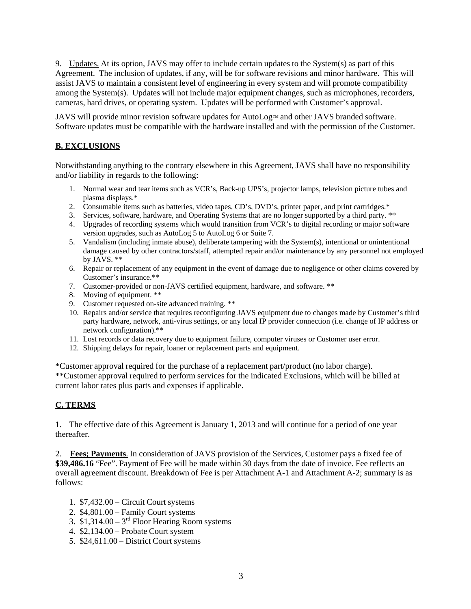9. Updates. At its option, JAVS may offer to include certain updates to the System(s) as part of this Agreement. The inclusion of updates, if any, will be for software revisions and minor hardware. This will assist JAVS to maintain a consistent level of engineering in every system and will promote compatibility among the System(s). Updates will not include major equipment changes, such as microphones, recorders, cameras, hard drives, or operating system. Updates will be performed with Customer's approval.

JAVS will provide minor revision software updates for AutoLog™ and other JAVS branded software. Software updates must be compatible with the hardware installed and with the permission of the Customer.

## **B. EXCLUSIONS**

Notwithstanding anything to the contrary elsewhere in this Agreement, JAVS shall have no responsibility and/or liability in regards to the following:

- 1. Normal wear and tear items such as VCR's, Back-up UPS's, projector lamps, television picture tubes and plasma displays.\*
- 2. Consumable items such as batteries, video tapes, CD's, DVD's, printer paper, and print cartridges.\*
- 3. Services, software, hardware, and Operating Systems that are no longer supported by a third party. \*\*
- 4. Upgrades of recording systems which would transition from VCR's to digital recording or major software version upgrades, such as AutoLog 5 to AutoLog 6 or Suite 7.
- 5. Vandalism (including inmate abuse), deliberate tampering with the System(s), intentional or unintentional damage caused by other contractors/staff, attempted repair and/or maintenance by any personnel not employed by JAVS. \*\*
- 6. Repair or replacement of any equipment in the event of damage due to negligence or other claims covered by Customer's insurance.\*\*
- 7. Customer-provided or non-JAVS certified equipment, hardware, and software. \*\*
- 8. Moving of equipment. \*\*
- 9. Customer requested on-site advanced training. \*\*
- 10. Repairs and/or service that requires reconfiguring JAVS equipment due to changes made by Customer's third party hardware, network, anti-virus settings, or any local IP provider connection (i.e. change of IP address or network configuration).\*\*
- 11. Lost records or data recovery due to equipment failure, computer viruses or Customer user error.
- 12. Shipping delays for repair, loaner or replacement parts and equipment.

\*Customer approval required for the purchase of a replacement part/product (no labor charge). \*\*Customer approval required to perform services for the indicated Exclusions, which will be billed at current labor rates plus parts and expenses if applicable.

### **C. TERMS**

1. The effective date of this Agreement is January 1, 2013 and will continue for a period of one year thereafter.

2. **Fees; Payments**. In consideration of JAVS provision of the Services, Customer pays a fixed fee of **\$39,486.16** "Fee". Payment of Fee will be made within 30 days from the date of invoice. Fee reflects an overall agreement discount. Breakdown of Fee is per Attachment A-1 and Attachment A-2; summary is as follows:

- 1. \$7,432.00 Circuit Court systems
- 2. \$4,801.00 Family Court systems
- 3.  $$1,314.00 3<sup>rd</sup>$  Floor Hearing Room systems
- 4. \$2,134.00 Probate Court system
- 5. \$24,611.00 District Court systems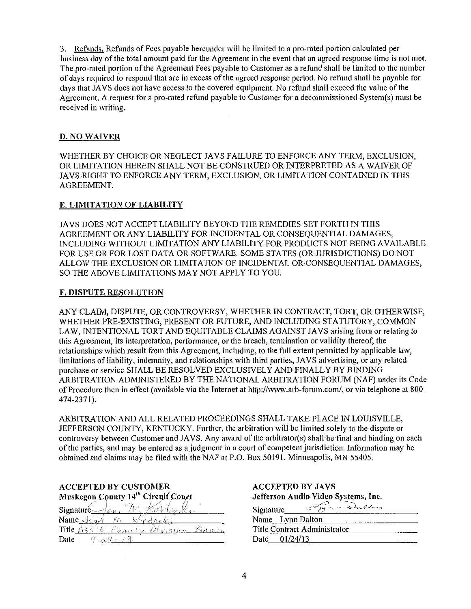3. Refunds. Refunds of Fees payable hereunder will be limited to a pro-rated portion calculated per business day of the total amount paid for the Agreement in the event that an agreed response time is not met. The pro-rated portion of the Agreement Fees payable to Customer as a refund shall be limited to the number of days required to respond that are in excess of the agreed response period. No refund shall be payable for days that JAYS does not have access to the covered equipment. No refund shall exceed the value of the Agreement. A request for a pro-rated refund payable to Customer for a decommissioned System(s) must be received in writing.

### D. NO WAIVER

WHETHER BY CHOICE OR NEGLECT JA VS FAILURE TO ENFORCE ANY TERM, EXCLUSION, OR LIMITATION HEREIN SHALL NOT BE CONSTRUED OR INTERPRETED AS A WAIVER OF JAYS RIGHT TO ENFORCE ANY TERM, EXCLUSION, OR LIMITATION CONTAINED IN THIS AGREEMENT.

## E. LIMITATION OF LIABILITY

JAYS DOES NOT ACCEPT LIABILITY BEYOND THE REMEDIES SET FORTH IN THIS AGREEMENT OR ANY LIABILITY FOR INCIDENTAL OR CONSEQUENTIAL DAMAGES, INCLUDING WITHOUT LIMITATION ANY LIABILITY FOR PRODUCTS NOT BEING AVAILABLE FOR USE OR FOR LOST DATA OR SOFTWARE. SOME STATES (OR JURISDICTIONS) DO NOT ALLOW THE EXCLUSION OR LIMITATION OF INCIDENTAL OR·CONSEQUENTIAL DAMAGES, SO THE ABOVE LIMITATIONS MAY NOT APPLY TO YOU.

### F. DISPUTE RESOLUTION

ANY CLAIM, DISPUTE, OR CONTROVERSY, WHETHER IN CONTRACT, TORT, OR OTHERWISE, WHETHER PRE-EXISTING, PRESENT OR FUTURE, AND INCLUDING STATUTORY, COMMON LAW, INTENTIONAL TORT AND EQUITABLE CLAIMS AGAINST JAVS arising from or relating to this Agreement, its interpretation, performance, or the breach, termination or validity thereof, the relationships which result from this Agreement, including, to the full extent pennitted by applicable law, limitations of liability, indemnity, and relationships with third parties, JAYS advertising, or any related purchase or service SHALL BE RESOLVED EXCLUSIVELY AND FINALLY BY BINDING ARBITRATION ADMINISTERED BY THE NATIONAL ARBITRATION FORUM (NAF) under its Code of Procedure then in effect (available via the Internet at http://www.arb-forum.com/, or via telephone at 800- 474-2371).

ARBITRATION AND ALL RELATED PROCEEDINGS SHALL TAKE PLACE IN LOUISVILLE, JEFFERSON COUNTY, KENTUCKY. Further, the arbitration will be limited solely to the dispute or controversy between Customer and JAVS. Any award of the arbitrator(s) shall be final and binding on each of the parties, and may be entered as a judgment in a court of competent jurisdiction. Information may be obtained and claims may be filed with the NAF at P.O. Box 50191, Minneapolis, MN 55405.

## ACCEPTED BY CUSTOMER Muskegon County 14<sup>th</sup> Circuit Court

| Signature $\frac{1}{4}$ |                         |  |
|-------------------------|-------------------------|--|
| Name Jan                |                         |  |
| Title $A \leq s$        | E Panily Division Admin |  |
| Date<br>ニンズシ            |                         |  |

| <b>ACCEPTED BY JAVS</b>             |  |
|-------------------------------------|--|
| Jefferson Audio Video Systems, Inc. |  |
| Signature Form Dalton               |  |
| Name Lynn Dalton                    |  |
| Title Contract Administrator        |  |
| Date 01/24/13                       |  |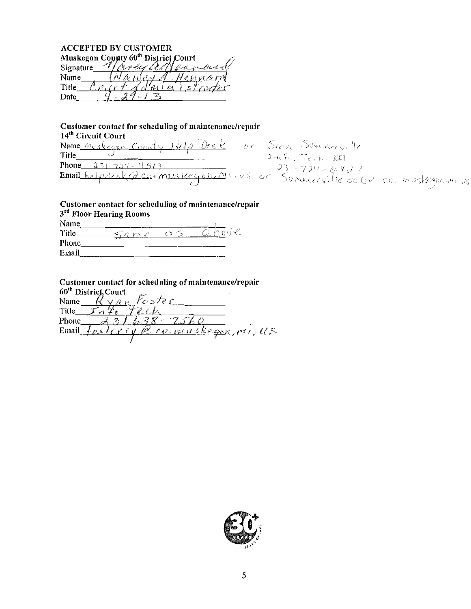| <b>ACCEPTED BY CUSTOMER</b>                     |          |  |  |
|-------------------------------------------------|----------|--|--|
| Muskegon Coynty 60 <sup>th</sup> District Court |          |  |  |
| Signature                                       | Mody all |  |  |
| Name                                            | tennard  |  |  |
| Title                                           |          |  |  |
| Date                                            |          |  |  |
|                                                 |          |  |  |

Customer contact for scheduling of maintenance/repair 14<sup>th</sup> Circuit Court 14'" Circuit Court  $\frac{N \text{ame} \cdot N \text{w}$ skegan County Help Desk of Phone 231-724-4513 **Email** <u>kelpdesk@co</u>:mps Kegon(MIUS of Simm cuille sel  $\epsilon$ rville se (ev. co. m

|       | 3rd Floor Hearing Rooms |            | Customer contact for scheduling of maintenance/repair |
|-------|-------------------------|------------|-------------------------------------------------------|
| Name  |                         |            |                                                       |
| Title |                         | $\alpha$ S | hove<br>Œ.                                            |
| Phone |                         |            |                                                       |
| Email |                         |            |                                                       |

Customer contact for scheduling of maintenance/repair  $60<sup>th</sup>$  District, Court Name *Ryan Foster* Title  $\frac{f_0 f_0}{231638}$ Phone<sub>,</sub>  $231638 - 7560$ <br>Email fosterry @ co. musks Fosterry  $@$  co. muskagon,  $m$ , US

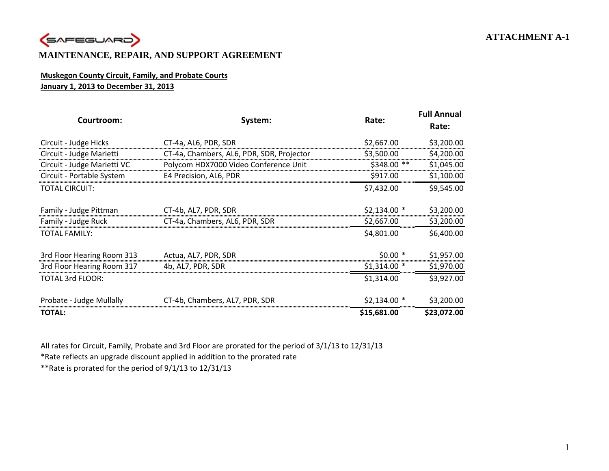

## **MAINTENANCE, REPAIR, AND SUPPORT AGREEMENT**

## **Muskegon County Circuit, Family, and Probate Courts January 1, 2013 to December 31, 2013**

| Courtroom:                  | System:                                   | Rate:         | <b>Full Annual</b><br>Rate: |
|-----------------------------|-------------------------------------------|---------------|-----------------------------|
| Circuit - Judge Hicks       | CT-4a, AL6, PDR, SDR                      | \$2,667.00    | \$3,200.00                  |
| Circuit - Judge Marietti    | CT-4a, Chambers, AL6, PDR, SDR, Projector | \$3,500.00    | \$4,200.00                  |
| Circuit - Judge Marietti VC | Polycom HDX7000 Video Conference Unit     | $$348.00$ **  | \$1,045.00                  |
| Circuit - Portable System   | E4 Precision, AL6, PDR                    | \$917.00      | \$1,100.00                  |
| <b>TOTAL CIRCUIT:</b>       |                                           | \$7,432.00    | \$9,545.00                  |
| Family - Judge Pittman      | CT-4b, AL7, PDR, SDR                      | $$2,134.00*$  | \$3,200.00                  |
| Family - Judge Ruck         | CT-4a, Chambers, AL6, PDR, SDR            | \$2,667.00    | \$3,200.00                  |
| <b>TOTAL FAMILY:</b>        |                                           | \$4,801.00    | \$6,400.00                  |
| 3rd Floor Hearing Room 313  | Actua, AL7, PDR, SDR                      | $$0.00*$      | \$1,957.00                  |
| 3rd Floor Hearing Room 317  | 4b, AL7, PDR, SDR                         | $$1,314.00$ * | \$1,970.00                  |
| <b>TOTAL 3rd FLOOR:</b>     |                                           | \$1,314.00    | \$3,927.00                  |
| Probate - Judge Mullally    | CT-4b, Chambers, AL7, PDR, SDR            | $$2,134.00*$  | \$3,200.00                  |
| <b>TOTAL:</b>               |                                           | \$15,681.00   | \$23,072.00                 |

All rates for Circuit, Family, Probate and 3rd Floor are prorated for the period of 3/1/13 to 12/31/13

\*Rate reflects an upgrade discount applied in addition to the prorated rate

\*\*Rate is prorated for the period of 9/1/13 to 12/31/13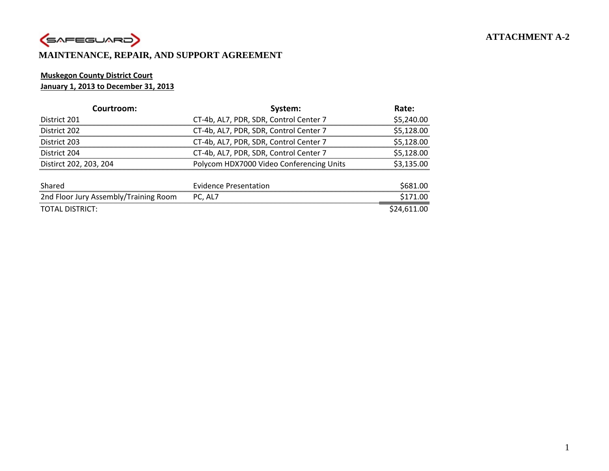# **ATTACHMENT A-2**



## **MAINTENANCE, REPAIR, AND SUPPORT AGREEMENT**

## **Muskegon County District Court**

### **January 1, 2013 to December 31, 2013**

| Courtroom:                            | System:                                  | Rate:       |
|---------------------------------------|------------------------------------------|-------------|
| District 201                          | CT-4b, AL7, PDR, SDR, Control Center 7   | \$5,240.00  |
| District 202                          | CT-4b, AL7, PDR, SDR, Control Center 7   | \$5,128.00  |
| District 203                          | CT-4b, AL7, PDR, SDR, Control Center 7   | \$5,128.00  |
| District 204                          | CT-4b, AL7, PDR, SDR, Control Center 7   | \$5,128.00  |
| Distirct 202, 203, 204                | Polycom HDX7000 Video Conferencing Units | \$3,135.00  |
|                                       |                                          |             |
| Shared                                | <b>Evidence Presentation</b>             | \$681.00    |
| 2nd Floor Jury Assembly/Training Room | PC, AL7                                  | \$171.00    |
| TOTAL DISTRICT:                       |                                          | \$24.611.00 |